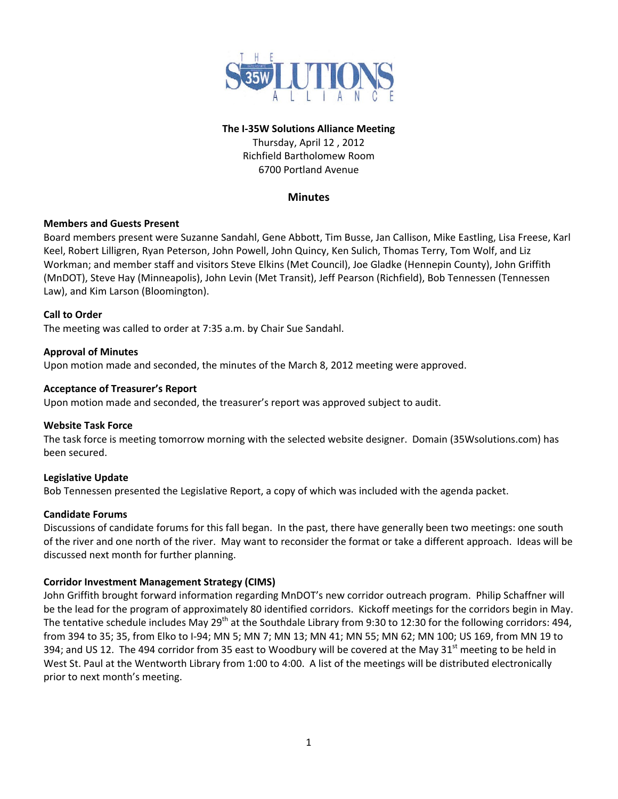

## **The I‐35W Solutions Alliance Meeting**

Thursday, April 12 , 2012 Richfield Bartholomew Room 6700 Portland Avenue

## **Minutes**

## **Members and Guests Present**

Board members present were Suzanne Sandahl, Gene Abbott, Tim Busse, Jan Callison, Mike Eastling, Lisa Freese, Karl Keel, Robert Lilligren, Ryan Peterson, John Powell, John Quincy, Ken Sulich, Thomas Terry, Tom Wolf, and Liz Workman; and member staff and visitors Steve Elkins (Met Council), Joe Gladke (Hennepin County), John Griffith (MnDOT), Steve Hay (Minneapolis), John Levin (Met Transit), Jeff Pearson (Richfield), Bob Tennessen (Tennessen Law), and Kim Larson (Bloomington).

## **Call to Order**

The meeting was called to order at 7:35 a.m. by Chair Sue Sandahl.

## **Approval of Minutes**

Upon motion made and seconded, the minutes of the March 8, 2012 meeting were approved.

## **Acceptance of Treasurer's Report**

Upon motion made and seconded, the treasurer's report was approved subject to audit.

## **Website Task Force**

The task force is meeting tomorrow morning with the selected website designer. Domain (35Wsolutions.com) has been secured.

# **Legislative Update**

Bob Tennessen presented the Legislative Report, a copy of which was included with the agenda packet.

## **Candidate Forums**

Discussions of candidate forums for this fall began. In the past, there have generally been two meetings: one south of the river and one north of the river. May want to reconsider the format or take a different approach. Ideas will be discussed next month for further planning.

# **Corridor Investment Management Strategy (CIMS)**

John Griffith brought forward information regarding MnDOT's new corridor outreach program. Philip Schaffner will be the lead for the program of approximately 80 identified corridors. Kickoff meetings for the corridors begin in May. The tentative schedule includes May 29<sup>th</sup> at the Southdale Library from 9:30 to 12:30 for the following corridors: 494, from 394 to 35; 35, from Elko to I‐94; MN 5; MN 7; MN 13; MN 41; MN 55; MN 62; MN 100; US 169, from MN 19 to 394; and US 12. The 494 corridor from 35 east to Woodbury will be covered at the May 31<sup>st</sup> meeting to be held in West St. Paul at the Wentworth Library from 1:00 to 4:00. A list of the meetings will be distributed electronically prior to next month's meeting.